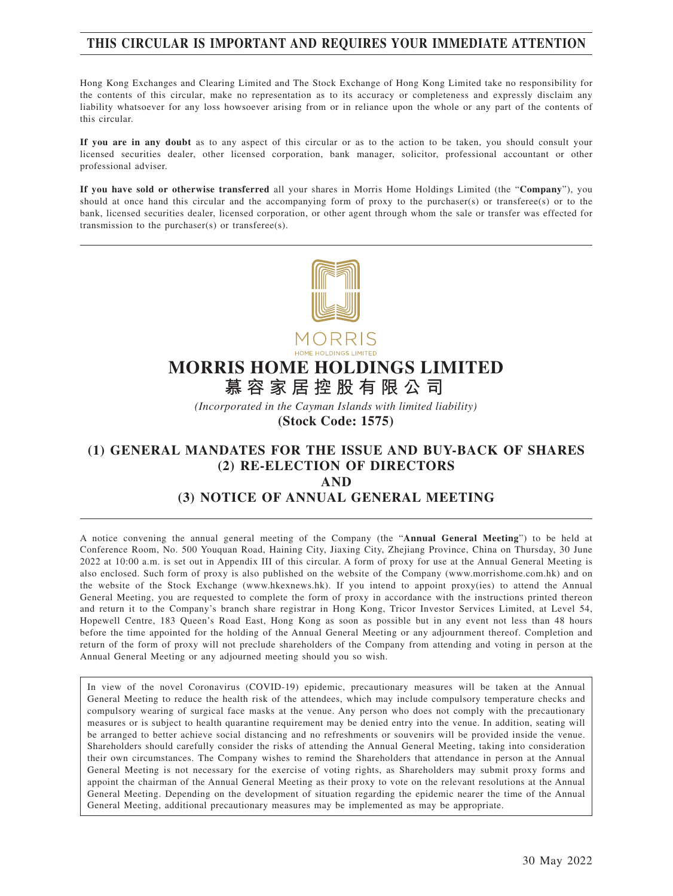# **THIS CIRCULAR IS IMPORTANT AND REQUIRES YOUR IMMEDIATE ATTENTION**

Hong Kong Exchanges and Clearing Limited and The Stock Exchange of Hong Kong Limited take no responsibility for the contents of this circular, make no representation as to its accuracy or completeness and expressly disclaim any liability whatsoever for any loss howsoever arising from or in reliance upon the whole or any part of the contents of this circular.

**If you are in any doubt** as to any aspect of this circular or as to the action to be taken, you should consult your licensed securities dealer, other licensed corporation, bank manager, solicitor, professional accountant or other professional adviser.

**If you have sold or otherwise transferred** all your shares in Morris Home Holdings Limited (the "**Company**"), you should at once hand this circular and the accompanying form of proxy to the purchaser(s) or transferee(s) or to the bank, licensed securities dealer, licensed corporation, or other agent through whom the sale or transfer was effected for transmission to the purchaser(s) or transferee(s).



# **MORRIS HOME HOLDINGS LIMITED**

**慕容家居控股有限公司**

*(Incorporated in the Cayman Islands with limited liability)*

**(Stock Code: 1575)**

## **(1) GENERAL MANDATES FOR THE ISSUE AND BUY-BACK OF SHARES (2) RE-ELECTION OF DIRECTORS AND (3) NOTICE OF ANNUAL GENERAL MEETING**

A notice convening the annual general meeting of the Company (the "**Annual General Meeting**") to be held at Conference Room, No. 500 Youquan Road, Haining City, Jiaxing City, Zhejiang Province, China on Thursday, 30 June 2022 at 10:00 a.m. is set out in Appendix III of this circular. A form of proxy for use at the Annual General Meeting is also enclosed. Such form of proxy is also published on the website of the Company (www.morrishome.com.hk) and on the website of the Stock Exchange (www.hkexnews.hk). If you intend to appoint proxy(ies) to attend the Annual General Meeting, you are requested to complete the form of proxy in accordance with the instructions printed thereon and return it to the Company's branch share registrar in Hong Kong, Tricor Investor Services Limited, at Level 54, Hopewell Centre, 183 Queen's Road East, Hong Kong as soon as possible but in any event not less than 48 hours before the time appointed for the holding of the Annual General Meeting or any adjournment thereof. Completion and return of the form of proxy will not preclude shareholders of the Company from attending and voting in person at the Annual General Meeting or any adjourned meeting should you so wish.

In view of the novel Coronavirus (COVID-19) epidemic, precautionary measures will be taken at the Annual General Meeting to reduce the health risk of the attendees, which may include compulsory temperature checks and compulsory wearing of surgical face masks at the venue. Any person who does not comply with the precautionary measures or is subject to health quarantine requirement may be denied entry into the venue. In addition, seating will be arranged to better achieve social distancing and no refreshments or souvenirs will be provided inside the venue. Shareholders should carefully consider the risks of attending the Annual General Meeting, taking into consideration their own circumstances. The Company wishes to remind the Shareholders that attendance in person at the Annual General Meeting is not necessary for the exercise of voting rights, as Shareholders may submit proxy forms and appoint the chairman of the Annual General Meeting as their proxy to vote on the relevant resolutions at the Annual General Meeting. Depending on the development of situation regarding the epidemic nearer the time of the Annual General Meeting, additional precautionary measures may be implemented as may be appropriate.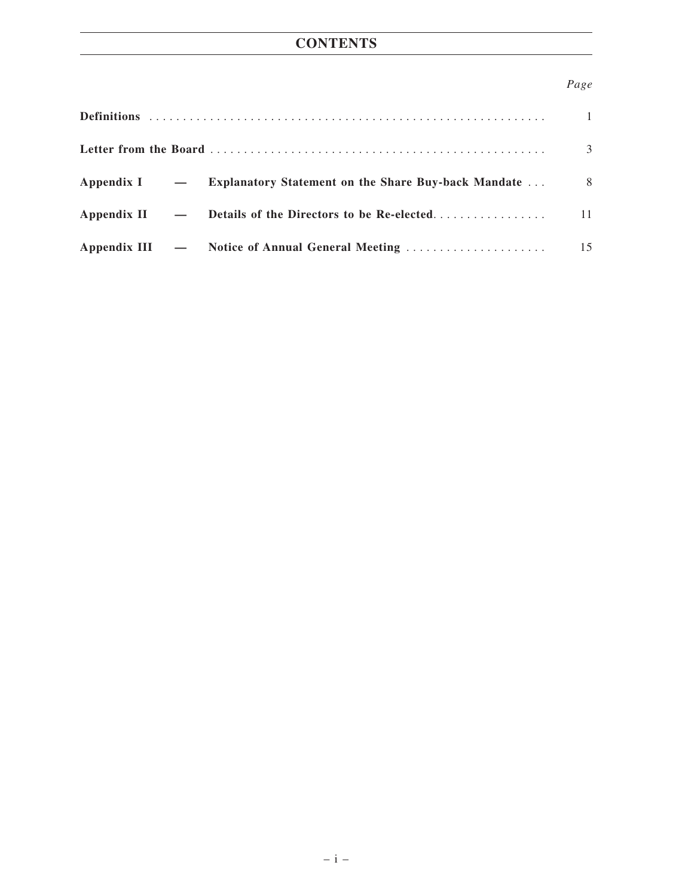# **CONTENTS**

# *Page*

|  |                                                                  | 3  |
|--|------------------------------------------------------------------|----|
|  | Appendix I — Explanatory Statement on the Share Buy-back Mandate | 8  |
|  | Appendix II - Details of the Directors to be Re-elected          | 11 |
|  |                                                                  | 15 |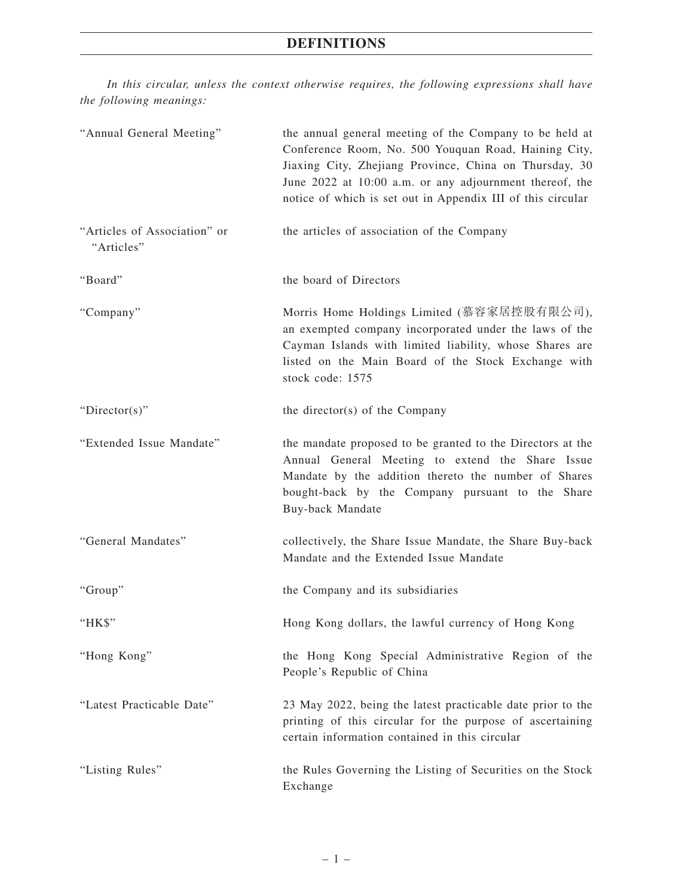# **DEFINITIONS**

*In this circular, unless the context otherwise requires, the following expressions shall have the following meanings:*

| "Annual General Meeting"                   | the annual general meeting of the Company to be held at<br>Conference Room, No. 500 Youquan Road, Haining City,<br>Jiaxing City, Zhejiang Province, China on Thursday, 30<br>June 2022 at 10:00 a.m. or any adjournment thereof, the<br>notice of which is set out in Appendix III of this circular |
|--------------------------------------------|-----------------------------------------------------------------------------------------------------------------------------------------------------------------------------------------------------------------------------------------------------------------------------------------------------|
| "Articles of Association" or<br>"Articles" | the articles of association of the Company                                                                                                                                                                                                                                                          |
| "Board"                                    | the board of Directors                                                                                                                                                                                                                                                                              |
| "Company"                                  | Morris Home Holdings Limited (慕容家居控股有限公司),<br>an exempted company incorporated under the laws of the<br>Cayman Islands with limited liability, whose Shares are<br>listed on the Main Board of the Stock Exchange with<br>stock code: 1575                                                          |
| "Director(s)"                              | the director(s) of the Company                                                                                                                                                                                                                                                                      |
| "Extended Issue Mandate"                   | the mandate proposed to be granted to the Directors at the<br>Annual General Meeting to extend the Share Issue<br>Mandate by the addition thereto the number of Shares<br>bought-back by the Company pursuant to the Share<br>Buy-back Mandate                                                      |
| "General Mandates"                         | collectively, the Share Issue Mandate, the Share Buy-back<br>Mandate and the Extended Issue Mandate                                                                                                                                                                                                 |
| "Group"                                    | the Company and its subsidiaries                                                                                                                                                                                                                                                                    |
| "HK\$"                                     | Hong Kong dollars, the lawful currency of Hong Kong                                                                                                                                                                                                                                                 |
| "Hong Kong"                                | the Hong Kong Special Administrative Region of the<br>People's Republic of China                                                                                                                                                                                                                    |
| "Latest Practicable Date"                  | 23 May 2022, being the latest practicable date prior to the<br>printing of this circular for the purpose of ascertaining<br>certain information contained in this circular                                                                                                                          |
| "Listing Rules"                            | the Rules Governing the Listing of Securities on the Stock<br>Exchange                                                                                                                                                                                                                              |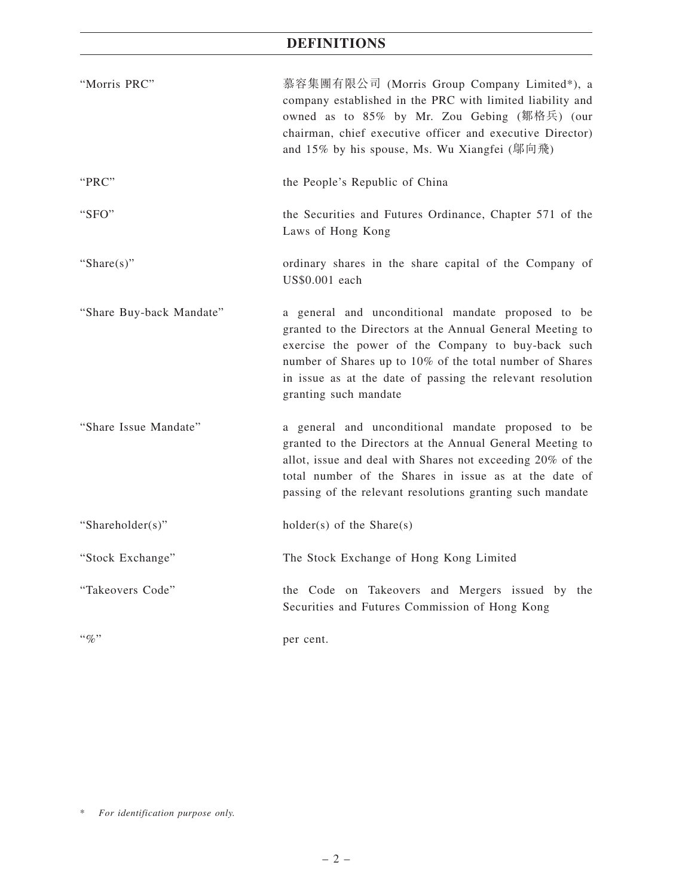# **DEFINITIONS**

| "Morris PRC"             | 慕容集團有限公司 (Morris Group Company Limited*), a<br>company established in the PRC with limited liability and<br>owned as to 85% by Mr. Zou Gebing (鄒格兵) (our<br>chairman, chief executive officer and executive Director)<br>and 15% by his spouse, Ms. Wu Xiangfei ( ) ( ) $\hat{\mathbb{R}}$ )                             |
|--------------------------|--------------------------------------------------------------------------------------------------------------------------------------------------------------------------------------------------------------------------------------------------------------------------------------------------------------------------|
| "PRC"                    | the People's Republic of China                                                                                                                                                                                                                                                                                           |
| "SFO"                    | the Securities and Futures Ordinance, Chapter 571 of the<br>Laws of Hong Kong                                                                                                                                                                                                                                            |
| "Share $(s)$ "           | ordinary shares in the share capital of the Company of<br>US\$0.001 each                                                                                                                                                                                                                                                 |
| "Share Buy-back Mandate" | a general and unconditional mandate proposed to be<br>granted to the Directors at the Annual General Meeting to<br>exercise the power of the Company to buy-back such<br>number of Shares up to 10% of the total number of Shares<br>in issue as at the date of passing the relevant resolution<br>granting such mandate |
| "Share Issue Mandate"    | a general and unconditional mandate proposed to be<br>granted to the Directors at the Annual General Meeting to<br>allot, issue and deal with Shares not exceeding 20% of the<br>total number of the Shares in issue as at the date of<br>passing of the relevant resolutions granting such mandate                      |
| "Shareholder(s)"         | $holder(s)$ of the Share(s)                                                                                                                                                                                                                                                                                              |
| "Stock Exchange"         | The Stock Exchange of Hong Kong Limited                                                                                                                                                                                                                                                                                  |
| "Takeovers Code"         | the Code on Takeovers and Mergers issued by the<br>Securities and Futures Commission of Hong Kong                                                                                                                                                                                                                        |
| $``q_0"$                 | per cent.                                                                                                                                                                                                                                                                                                                |

\* *For identification purpose only.*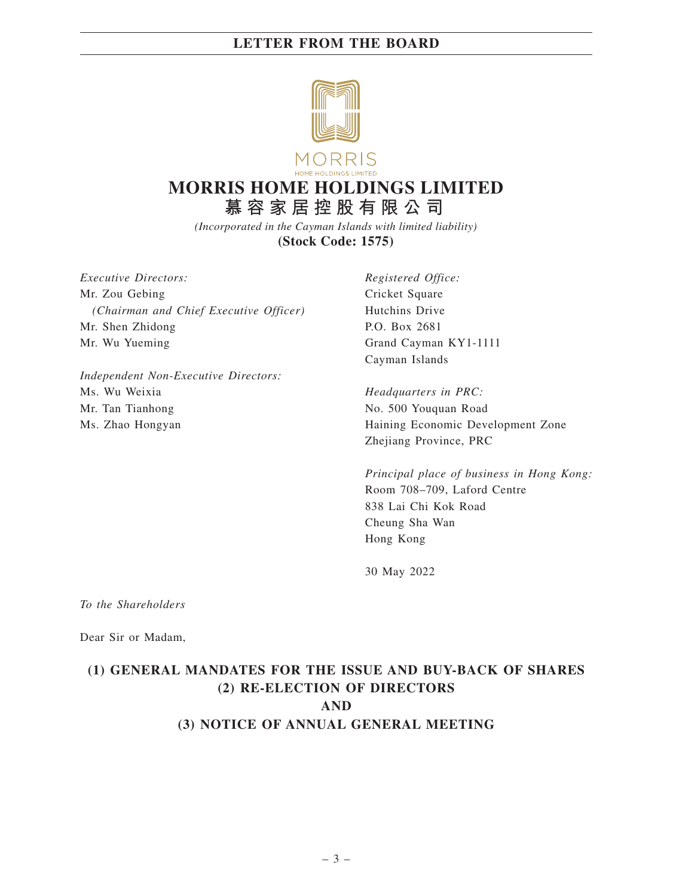

# **MORRIS HOME HOLDINGS LIMITED 慕容家居控股有限公司**

*(Incorporated in the Cayman Islands with limited liability)* **(Stock Code: 1575)**

*Executive Directors:* Mr. Zou Gebing *(Chairman and Chief Executive Officer)* Mr. Shen Zhidong Mr. Wu Yueming

*Independent Non-Executive Directors:* Ms. Wu Weixia Mr. Tan Tianhong Ms. Zhao Hongyan

*Registered Office:* Cricket Square Hutchins Drive P.O. Box 2681 Grand Cayman KY1-1111 Cayman Islands

*Headquarters in PRC:* No. 500 Youquan Road Haining Economic Development Zone Zhejiang Province, PRC

*Principal place of business in Hong Kong:* Room 708–709, Laford Centre 838 Lai Chi Kok Road Cheung Sha Wan Hong Kong

30 May 2022

*To the Shareholders*

Dear Sir or Madam,

# **(1) GENERAL MANDATES FOR THE ISSUE AND BUY-BACK OF SHARES (2) RE-ELECTION OF DIRECTORS AND (3) NOTICE OF ANNUAL GENERAL MEETING**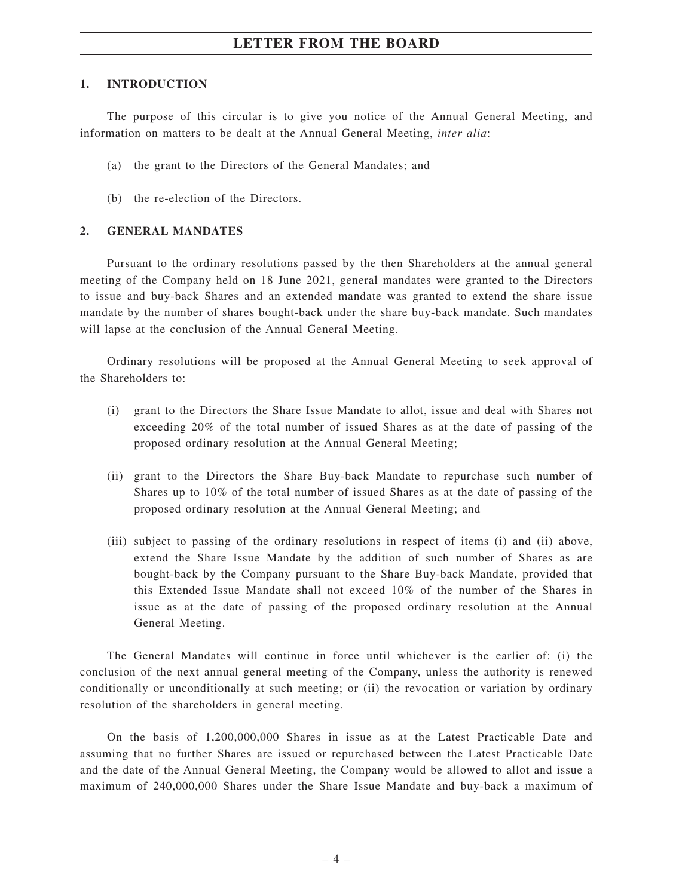#### **1. INTRODUCTION**

The purpose of this circular is to give you notice of the Annual General Meeting, and information on matters to be dealt at the Annual General Meeting, *inter alia*:

- (a) the grant to the Directors of the General Mandates; and
- (b) the re-election of the Directors.

#### **2. GENERAL MANDATES**

Pursuant to the ordinary resolutions passed by the then Shareholders at the annual general meeting of the Company held on 18 June 2021, general mandates were granted to the Directors to issue and buy-back Shares and an extended mandate was granted to extend the share issue mandate by the number of shares bought-back under the share buy-back mandate. Such mandates will lapse at the conclusion of the Annual General Meeting.

Ordinary resolutions will be proposed at the Annual General Meeting to seek approval of the Shareholders to:

- (i) grant to the Directors the Share Issue Mandate to allot, issue and deal with Shares not exceeding 20% of the total number of issued Shares as at the date of passing of the proposed ordinary resolution at the Annual General Meeting;
- (ii) grant to the Directors the Share Buy-back Mandate to repurchase such number of Shares up to 10% of the total number of issued Shares as at the date of passing of the proposed ordinary resolution at the Annual General Meeting; and
- (iii) subject to passing of the ordinary resolutions in respect of items (i) and (ii) above, extend the Share Issue Mandate by the addition of such number of Shares as are bought-back by the Company pursuant to the Share Buy-back Mandate, provided that this Extended Issue Mandate shall not exceed 10% of the number of the Shares in issue as at the date of passing of the proposed ordinary resolution at the Annual General Meeting.

The General Mandates will continue in force until whichever is the earlier of: (i) the conclusion of the next annual general meeting of the Company, unless the authority is renewed conditionally or unconditionally at such meeting; or (ii) the revocation or variation by ordinary resolution of the shareholders in general meeting.

On the basis of 1,200,000,000 Shares in issue as at the Latest Practicable Date and assuming that no further Shares are issued or repurchased between the Latest Practicable Date and the date of the Annual General Meeting, the Company would be allowed to allot and issue a maximum of 240,000,000 Shares under the Share Issue Mandate and buy-back a maximum of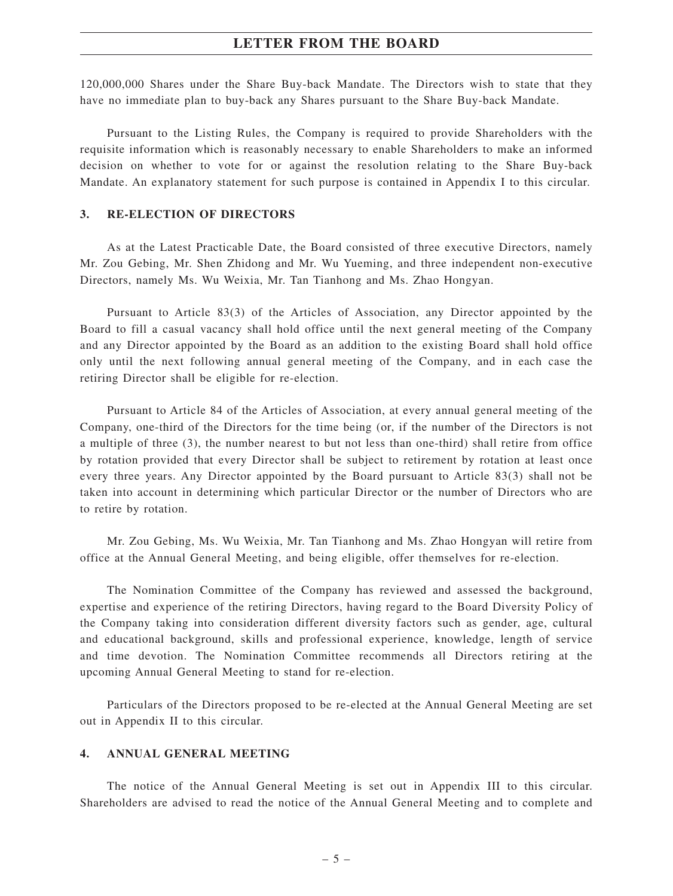120,000,000 Shares under the Share Buy-back Mandate. The Directors wish to state that they have no immediate plan to buy-back any Shares pursuant to the Share Buy-back Mandate.

Pursuant to the Listing Rules, the Company is required to provide Shareholders with the requisite information which is reasonably necessary to enable Shareholders to make an informed decision on whether to vote for or against the resolution relating to the Share Buy-back Mandate. An explanatory statement for such purpose is contained in Appendix I to this circular.

#### **3. RE-ELECTION OF DIRECTORS**

As at the Latest Practicable Date, the Board consisted of three executive Directors, namely Mr. Zou Gebing, Mr. Shen Zhidong and Mr. Wu Yueming, and three independent non-executive Directors, namely Ms. Wu Weixia, Mr. Tan Tianhong and Ms. Zhao Hongyan.

Pursuant to Article 83(3) of the Articles of Association, any Director appointed by the Board to fill a casual vacancy shall hold office until the next general meeting of the Company and any Director appointed by the Board as an addition to the existing Board shall hold office only until the next following annual general meeting of the Company, and in each case the retiring Director shall be eligible for re-election.

Pursuant to Article 84 of the Articles of Association, at every annual general meeting of the Company, one-third of the Directors for the time being (or, if the number of the Directors is not a multiple of three (3), the number nearest to but not less than one-third) shall retire from office by rotation provided that every Director shall be subject to retirement by rotation at least once every three years. Any Director appointed by the Board pursuant to Article 83(3) shall not be taken into account in determining which particular Director or the number of Directors who are to retire by rotation.

Mr. Zou Gebing, Ms. Wu Weixia, Mr. Tan Tianhong and Ms. Zhao Hongyan will retire from office at the Annual General Meeting, and being eligible, offer themselves for re-election.

The Nomination Committee of the Company has reviewed and assessed the background, expertise and experience of the retiring Directors, having regard to the Board Diversity Policy of the Company taking into consideration different diversity factors such as gender, age, cultural and educational background, skills and professional experience, knowledge, length of service and time devotion. The Nomination Committee recommends all Directors retiring at the upcoming Annual General Meeting to stand for re-election.

Particulars of the Directors proposed to be re-elected at the Annual General Meeting are set out in Appendix II to this circular.

#### **4. ANNUAL GENERAL MEETING**

The notice of the Annual General Meeting is set out in Appendix III to this circular. Shareholders are advised to read the notice of the Annual General Meeting and to complete and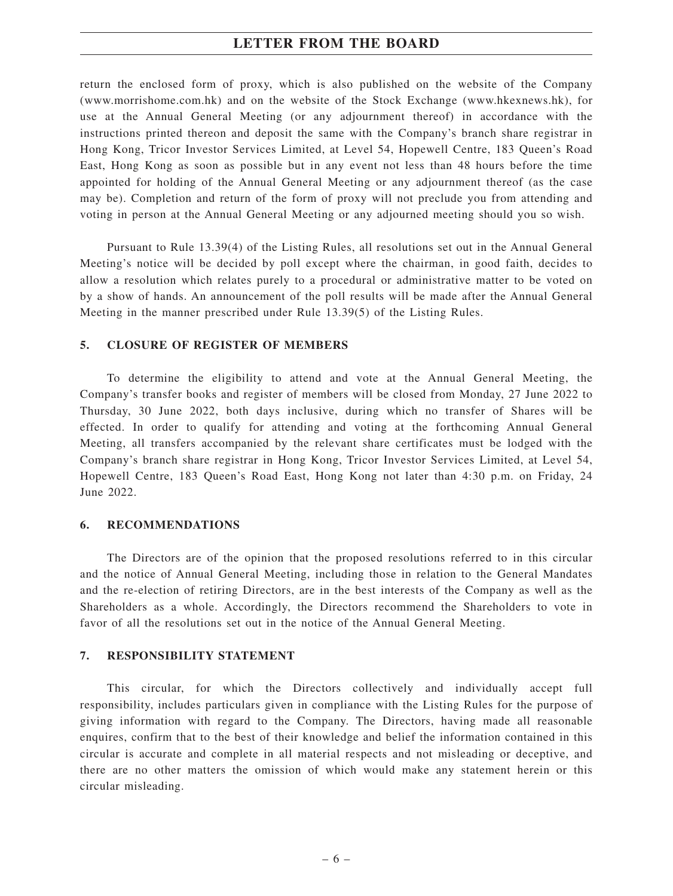return the enclosed form of proxy, which is also published on the website of the Company (www.morrishome.com.hk) and on the website of the Stock Exchange (www.hkexnews.hk), for use at the Annual General Meeting (or any adjournment thereof) in accordance with the instructions printed thereon and deposit the same with the Company's branch share registrar in Hong Kong, Tricor Investor Services Limited, at Level 54, Hopewell Centre, 183 Queen's Road East, Hong Kong as soon as possible but in any event not less than 48 hours before the time appointed for holding of the Annual General Meeting or any adjournment thereof (as the case may be). Completion and return of the form of proxy will not preclude you from attending and voting in person at the Annual General Meeting or any adjourned meeting should you so wish.

Pursuant to Rule 13.39(4) of the Listing Rules, all resolutions set out in the Annual General Meeting's notice will be decided by poll except where the chairman, in good faith, decides to allow a resolution which relates purely to a procedural or administrative matter to be voted on by a show of hands. An announcement of the poll results will be made after the Annual General Meeting in the manner prescribed under Rule 13.39(5) of the Listing Rules.

#### **5. CLOSURE OF REGISTER OF MEMBERS**

To determine the eligibility to attend and vote at the Annual General Meeting, the Company's transfer books and register of members will be closed from Monday, 27 June 2022 to Thursday, 30 June 2022, both days inclusive, during which no transfer of Shares will be effected. In order to qualify for attending and voting at the forthcoming Annual General Meeting, all transfers accompanied by the relevant share certificates must be lodged with the Company's branch share registrar in Hong Kong, Tricor Investor Services Limited, at Level 54, Hopewell Centre, 183 Queen's Road East, Hong Kong not later than 4:30 p.m. on Friday, 24 June 2022.

#### **6. RECOMMENDATIONS**

The Directors are of the opinion that the proposed resolutions referred to in this circular and the notice of Annual General Meeting, including those in relation to the General Mandates and the re-election of retiring Directors, are in the best interests of the Company as well as the Shareholders as a whole. Accordingly, the Directors recommend the Shareholders to vote in favor of all the resolutions set out in the notice of the Annual General Meeting.

#### **7. RESPONSIBILITY STATEMENT**

This circular, for which the Directors collectively and individually accept full responsibility, includes particulars given in compliance with the Listing Rules for the purpose of giving information with regard to the Company. The Directors, having made all reasonable enquires, confirm that to the best of their knowledge and belief the information contained in this circular is accurate and complete in all material respects and not misleading or deceptive, and there are no other matters the omission of which would make any statement herein or this circular misleading.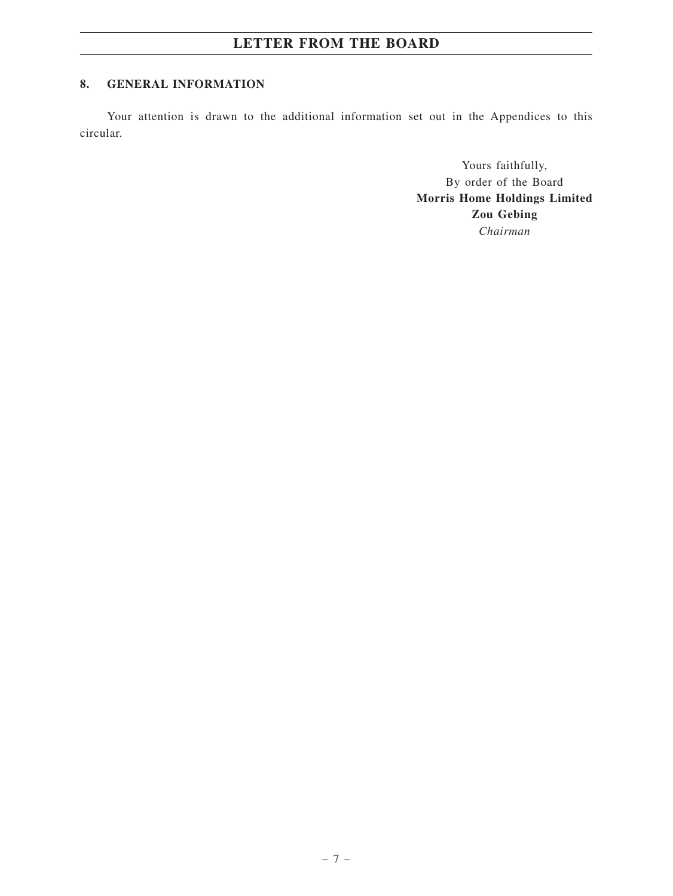### **8. GENERAL INFORMATION**

Your attention is drawn to the additional information set out in the Appendices to this circular.

> Yours faithfully, By order of the Board **Morris Home Holdings Limited Zou Gebing** *Chairman*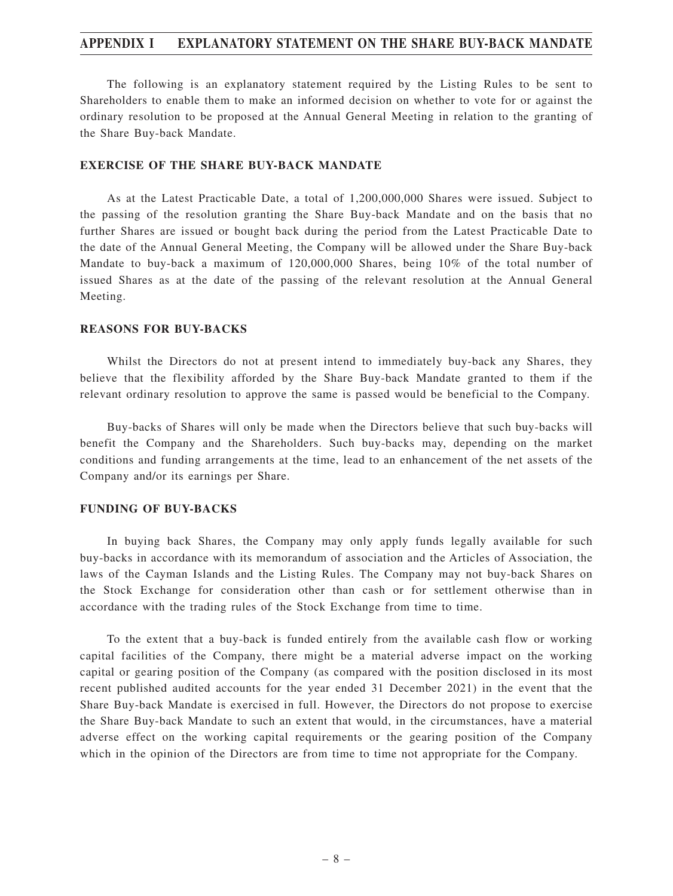### **APPENDIX I EXPLANATORY STATEMENT ON THE SHARE BUY-BACK MANDATE**

The following is an explanatory statement required by the Listing Rules to be sent to Shareholders to enable them to make an informed decision on whether to vote for or against the ordinary resolution to be proposed at the Annual General Meeting in relation to the granting of the Share Buy-back Mandate.

#### **EXERCISE OF THE SHARE BUY-BACK MANDATE**

As at the Latest Practicable Date, a total of 1,200,000,000 Shares were issued. Subject to the passing of the resolution granting the Share Buy-back Mandate and on the basis that no further Shares are issued or bought back during the period from the Latest Practicable Date to the date of the Annual General Meeting, the Company will be allowed under the Share Buy-back Mandate to buy-back a maximum of 120,000,000 Shares, being 10% of the total number of issued Shares as at the date of the passing of the relevant resolution at the Annual General Meeting.

#### **REASONS FOR BUY-BACKS**

Whilst the Directors do not at present intend to immediately buy-back any Shares, they believe that the flexibility afforded by the Share Buy-back Mandate granted to them if the relevant ordinary resolution to approve the same is passed would be beneficial to the Company.

Buy-backs of Shares will only be made when the Directors believe that such buy-backs will benefit the Company and the Shareholders. Such buy-backs may, depending on the market conditions and funding arrangements at the time, lead to an enhancement of the net assets of the Company and/or its earnings per Share.

#### **FUNDING OF BUY-BACKS**

In buying back Shares, the Company may only apply funds legally available for such buy-backs in accordance with its memorandum of association and the Articles of Association, the laws of the Cayman Islands and the Listing Rules. The Company may not buy-back Shares on the Stock Exchange for consideration other than cash or for settlement otherwise than in accordance with the trading rules of the Stock Exchange from time to time.

To the extent that a buy-back is funded entirely from the available cash flow or working capital facilities of the Company, there might be a material adverse impact on the working capital or gearing position of the Company (as compared with the position disclosed in its most recent published audited accounts for the year ended 31 December 2021) in the event that the Share Buy-back Mandate is exercised in full. However, the Directors do not propose to exercise the Share Buy-back Mandate to such an extent that would, in the circumstances, have a material adverse effect on the working capital requirements or the gearing position of the Company which in the opinion of the Directors are from time to time not appropriate for the Company.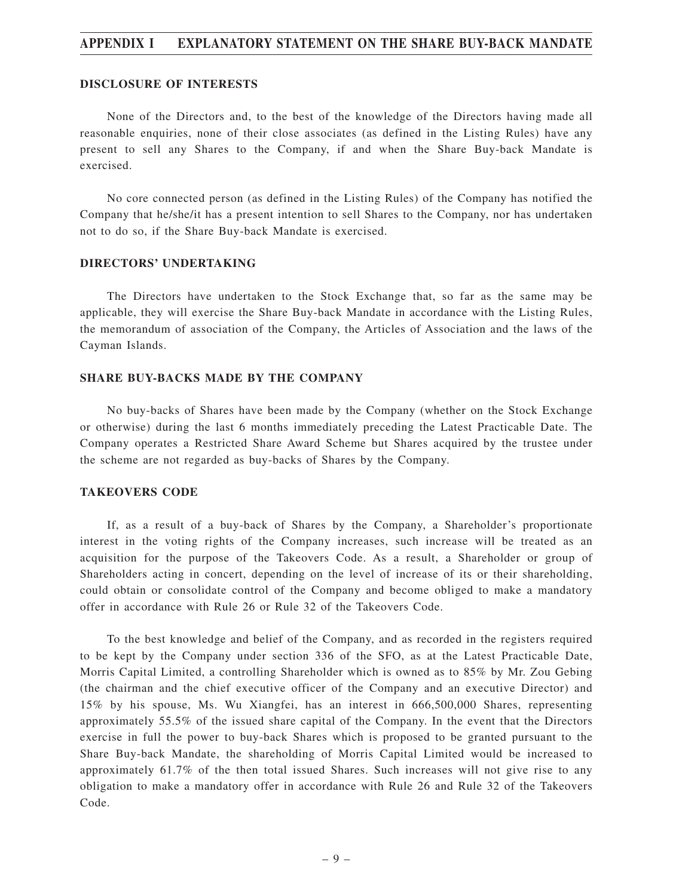#### **APPENDIX I EXPLANATORY STATEMENT ON THE SHARE BUY-BACK MANDATE**

#### **DISCLOSURE OF INTERESTS**

None of the Directors and, to the best of the knowledge of the Directors having made all reasonable enquiries, none of their close associates (as defined in the Listing Rules) have any present to sell any Shares to the Company, if and when the Share Buy-back Mandate is exercised.

No core connected person (as defined in the Listing Rules) of the Company has notified the Company that he/she/it has a present intention to sell Shares to the Company, nor has undertaken not to do so, if the Share Buy-back Mandate is exercised.

#### **DIRECTORS' UNDERTAKING**

The Directors have undertaken to the Stock Exchange that, so far as the same may be applicable, they will exercise the Share Buy-back Mandate in accordance with the Listing Rules, the memorandum of association of the Company, the Articles of Association and the laws of the Cayman Islands.

#### **SHARE BUY-BACKS MADE BY THE COMPANY**

No buy-backs of Shares have been made by the Company (whether on the Stock Exchange or otherwise) during the last 6 months immediately preceding the Latest Practicable Date. The Company operates a Restricted Share Award Scheme but Shares acquired by the trustee under the scheme are not regarded as buy-backs of Shares by the Company.

#### **TAKEOVERS CODE**

If, as a result of a buy-back of Shares by the Company, a Shareholder's proportionate interest in the voting rights of the Company increases, such increase will be treated as an acquisition for the purpose of the Takeovers Code. As a result, a Shareholder or group of Shareholders acting in concert, depending on the level of increase of its or their shareholding, could obtain or consolidate control of the Company and become obliged to make a mandatory offer in accordance with Rule 26 or Rule 32 of the Takeovers Code.

To the best knowledge and belief of the Company, and as recorded in the registers required to be kept by the Company under section 336 of the SFO, as at the Latest Practicable Date, Morris Capital Limited, a controlling Shareholder which is owned as to 85% by Mr. Zou Gebing (the chairman and the chief executive officer of the Company and an executive Director) and 15% by his spouse, Ms. Wu Xiangfei, has an interest in 666,500,000 Shares, representing approximately 55.5% of the issued share capital of the Company. In the event that the Directors exercise in full the power to buy-back Shares which is proposed to be granted pursuant to the Share Buy-back Mandate, the shareholding of Morris Capital Limited would be increased to approximately 61.7% of the then total issued Shares. Such increases will not give rise to any obligation to make a mandatory offer in accordance with Rule 26 and Rule 32 of the Takeovers Code.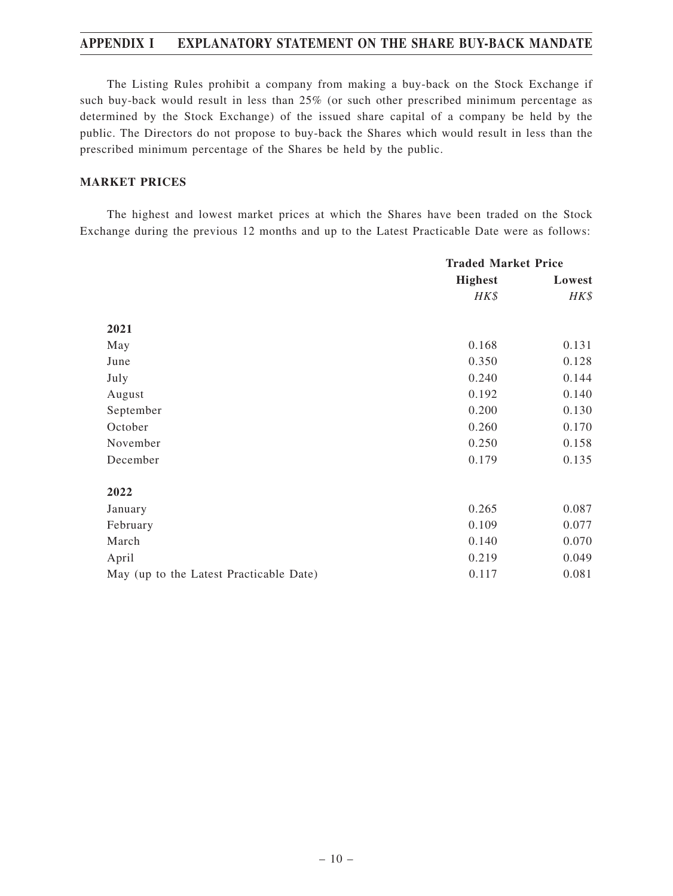# **APPENDIX I EXPLANATORY STATEMENT ON THE SHARE BUY-BACK MANDATE**

The Listing Rules prohibit a company from making a buy-back on the Stock Exchange if such buy-back would result in less than 25% (or such other prescribed minimum percentage as determined by the Stock Exchange) of the issued share capital of a company be held by the public. The Directors do not propose to buy-back the Shares which would result in less than the prescribed minimum percentage of the Shares be held by the public.

### **MARKET PRICES**

The highest and lowest market prices at which the Shares have been traded on the Stock Exchange during the previous 12 months and up to the Latest Practicable Date were as follows:

|                                         | <b>Traded Market Price</b> |        |
|-----------------------------------------|----------------------------|--------|
|                                         | <b>Highest</b>             | Lowest |
|                                         | HK\$                       | HK\$   |
| 2021                                    |                            |        |
| May                                     | 0.168                      | 0.131  |
| June                                    | 0.350                      | 0.128  |
| July                                    | 0.240                      | 0.144  |
| August                                  | 0.192                      | 0.140  |
| September                               | 0.200                      | 0.130  |
| October                                 | 0.260                      | 0.170  |
| November                                | 0.250                      | 0.158  |
| December                                | 0.179                      | 0.135  |
| 2022                                    |                            |        |
| January                                 | 0.265                      | 0.087  |
| February                                | 0.109                      | 0.077  |
| March                                   | 0.140                      | 0.070  |
| April                                   | 0.219                      | 0.049  |
| May (up to the Latest Practicable Date) | 0.117                      | 0.081  |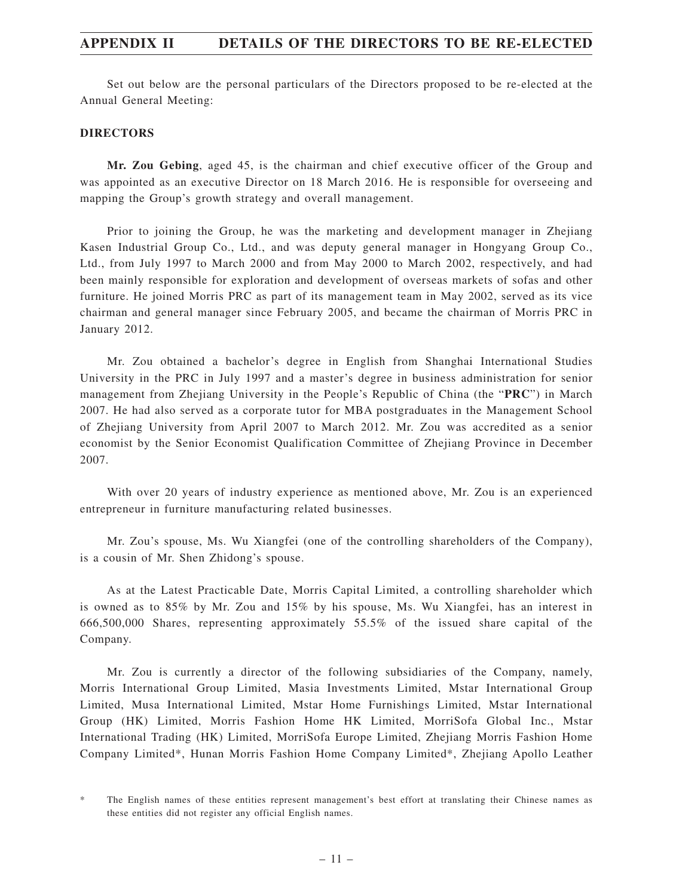Set out below are the personal particulars of the Directors proposed to be re-elected at the Annual General Meeting:

#### **DIRECTORS**

**Mr. Zou Gebing**, aged 45, is the chairman and chief executive officer of the Group and was appointed as an executive Director on 18 March 2016. He is responsible for overseeing and mapping the Group's growth strategy and overall management.

Prior to joining the Group, he was the marketing and development manager in Zhejiang Kasen Industrial Group Co., Ltd., and was deputy general manager in Hongyang Group Co., Ltd., from July 1997 to March 2000 and from May 2000 to March 2002, respectively, and had been mainly responsible for exploration and development of overseas markets of sofas and other furniture. He joined Morris PRC as part of its management team in May 2002, served as its vice chairman and general manager since February 2005, and became the chairman of Morris PRC in January 2012.

Mr. Zou obtained a bachelor's degree in English from Shanghai International Studies University in the PRC in July 1997 and a master's degree in business administration for senior management from Zhejiang University in the People's Republic of China (the "**PRC**") in March 2007. He had also served as a corporate tutor for MBA postgraduates in the Management School of Zhejiang University from April 2007 to March 2012. Mr. Zou was accredited as a senior economist by the Senior Economist Qualification Committee of Zhejiang Province in December 2007.

With over 20 years of industry experience as mentioned above, Mr. Zou is an experienced entrepreneur in furniture manufacturing related businesses.

Mr. Zou's spouse, Ms. Wu Xiangfei (one of the controlling shareholders of the Company), is a cousin of Mr. Shen Zhidong's spouse.

As at the Latest Practicable Date, Morris Capital Limited, a controlling shareholder which is owned as to 85% by Mr. Zou and 15% by his spouse, Ms. Wu Xiangfei, has an interest in 666,500,000 Shares, representing approximately 55.5% of the issued share capital of the Company.

Mr. Zou is currently a director of the following subsidiaries of the Company, namely, Morris International Group Limited, Masia Investments Limited, Mstar International Group Limited, Musa International Limited, Mstar Home Furnishings Limited, Mstar International Group (HK) Limited, Morris Fashion Home HK Limited, MorriSofa Global Inc., Mstar International Trading (HK) Limited, MorriSofa Europe Limited, Zhejiang Morris Fashion Home Company Limited\*, Hunan Morris Fashion Home Company Limited\*, Zhejiang Apollo Leather

<sup>\*</sup> The English names of these entities represent management's best effort at translating their Chinese names as these entities did not register any official English names.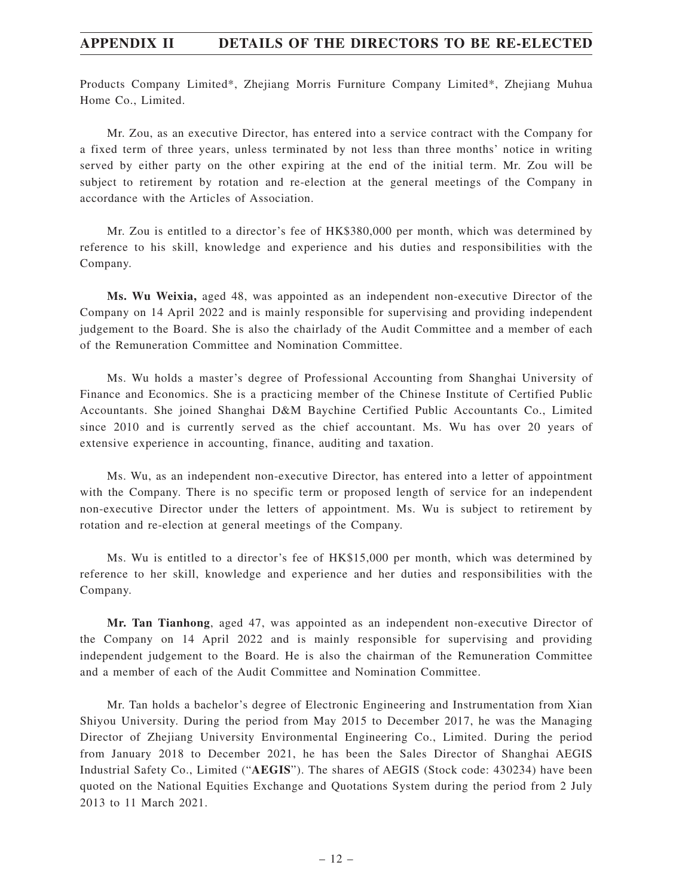Products Company Limited\*, Zhejiang Morris Furniture Company Limited\*, Zhejiang Muhua Home Co., Limited.

Mr. Zou, as an executive Director, has entered into a service contract with the Company for a fixed term of three years, unless terminated by not less than three months' notice in writing served by either party on the other expiring at the end of the initial term. Mr. Zou will be subject to retirement by rotation and re-election at the general meetings of the Company in accordance with the Articles of Association.

Mr. Zou is entitled to a director's fee of HK\$380,000 per month, which was determined by reference to his skill, knowledge and experience and his duties and responsibilities with the Company.

**Ms. Wu Weixia,** aged 48, was appointed as an independent non-executive Director of the Company on 14 April 2022 and is mainly responsible for supervising and providing independent judgement to the Board. She is also the chairlady of the Audit Committee and a member of each of the Remuneration Committee and Nomination Committee.

Ms. Wu holds a master's degree of Professional Accounting from Shanghai University of Finance and Economics. She is a practicing member of the Chinese Institute of Certified Public Accountants. She joined Shanghai D&M Baychine Certified Public Accountants Co., Limited since 2010 and is currently served as the chief accountant. Ms. Wu has over 20 years of extensive experience in accounting, finance, auditing and taxation.

Ms. Wu, as an independent non-executive Director, has entered into a letter of appointment with the Company. There is no specific term or proposed length of service for an independent non-executive Director under the letters of appointment. Ms. Wu is subject to retirement by rotation and re-election at general meetings of the Company.

Ms. Wu is entitled to a director's fee of HK\$15,000 per month, which was determined by reference to her skill, knowledge and experience and her duties and responsibilities with the Company.

**Mr. Tan Tianhong**, aged 47, was appointed as an independent non-executive Director of the Company on 14 April 2022 and is mainly responsible for supervising and providing independent judgement to the Board. He is also the chairman of the Remuneration Committee and a member of each of the Audit Committee and Nomination Committee.

Mr. Tan holds a bachelor's degree of Electronic Engineering and Instrumentation from Xian Shiyou University. During the period from May 2015 to December 2017, he was the Managing Director of Zhejiang University Environmental Engineering Co., Limited. During the period from January 2018 to December 2021, he has been the Sales Director of Shanghai AEGIS Industrial Safety Co., Limited ("**AEGIS**"). The shares of AEGIS (Stock code: 430234) have been quoted on the National Equities Exchange and Quotations System during the period from 2 July 2013 to 11 March 2021.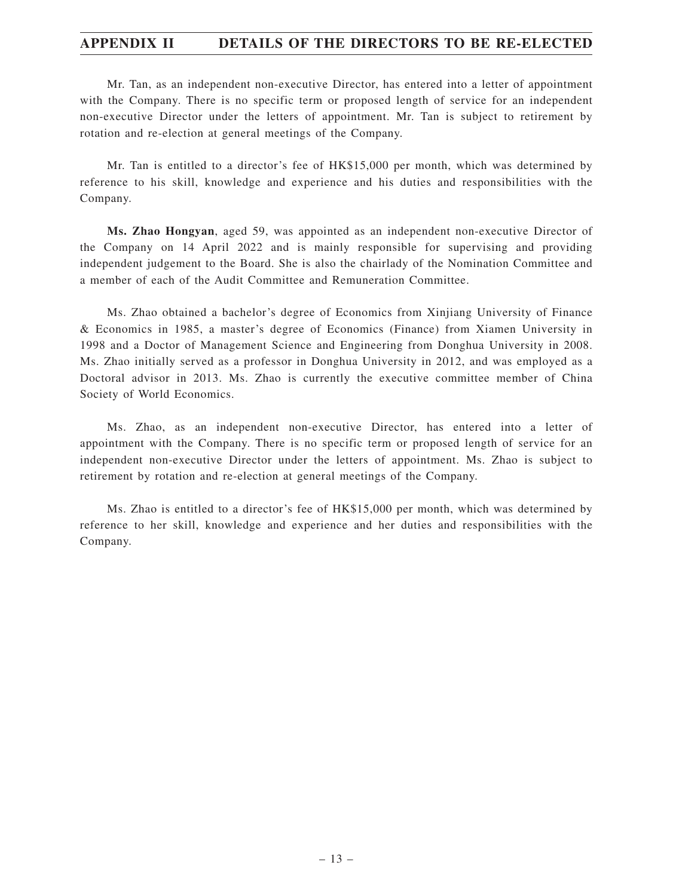Mr. Tan, as an independent non-executive Director, has entered into a letter of appointment with the Company. There is no specific term or proposed length of service for an independent non-executive Director under the letters of appointment. Mr. Tan is subject to retirement by rotation and re-election at general meetings of the Company.

Mr. Tan is entitled to a director's fee of HK\$15,000 per month, which was determined by reference to his skill, knowledge and experience and his duties and responsibilities with the Company.

**Ms. Zhao Hongyan**, aged 59, was appointed as an independent non-executive Director of the Company on 14 April 2022 and is mainly responsible for supervising and providing independent judgement to the Board. She is also the chairlady of the Nomination Committee and a member of each of the Audit Committee and Remuneration Committee.

Ms. Zhao obtained a bachelor's degree of Economics from Xinjiang University of Finance & Economics in 1985, a master's degree of Economics (Finance) from Xiamen University in 1998 and a Doctor of Management Science and Engineering from Donghua University in 2008. Ms. Zhao initially served as a professor in Donghua University in 2012, and was employed as a Doctoral advisor in 2013. Ms. Zhao is currently the executive committee member of China Society of World Economics.

Ms. Zhao, as an independent non-executive Director, has entered into a letter of appointment with the Company. There is no specific term or proposed length of service for an independent non-executive Director under the letters of appointment. Ms. Zhao is subject to retirement by rotation and re-election at general meetings of the Company.

Ms. Zhao is entitled to a director's fee of HK\$15,000 per month, which was determined by reference to her skill, knowledge and experience and her duties and responsibilities with the Company.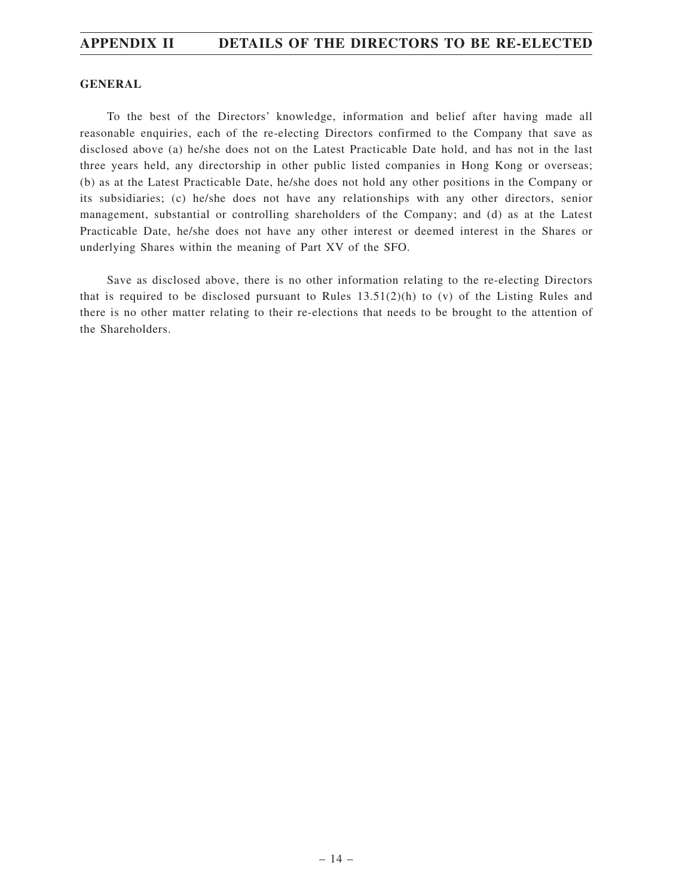#### **GENERAL**

To the best of the Directors' knowledge, information and belief after having made all reasonable enquiries, each of the re-electing Directors confirmed to the Company that save as disclosed above (a) he/she does not on the Latest Practicable Date hold, and has not in the last three years held, any directorship in other public listed companies in Hong Kong or overseas; (b) as at the Latest Practicable Date, he/she does not hold any other positions in the Company or its subsidiaries; (c) he/she does not have any relationships with any other directors, senior management, substantial or controlling shareholders of the Company; and (d) as at the Latest Practicable Date, he/she does not have any other interest or deemed interest in the Shares or underlying Shares within the meaning of Part XV of the SFO.

Save as disclosed above, there is no other information relating to the re-electing Directors that is required to be disclosed pursuant to Rules  $13.51(2)(h)$  to (v) of the Listing Rules and there is no other matter relating to their re-elections that needs to be brought to the attention of the Shareholders.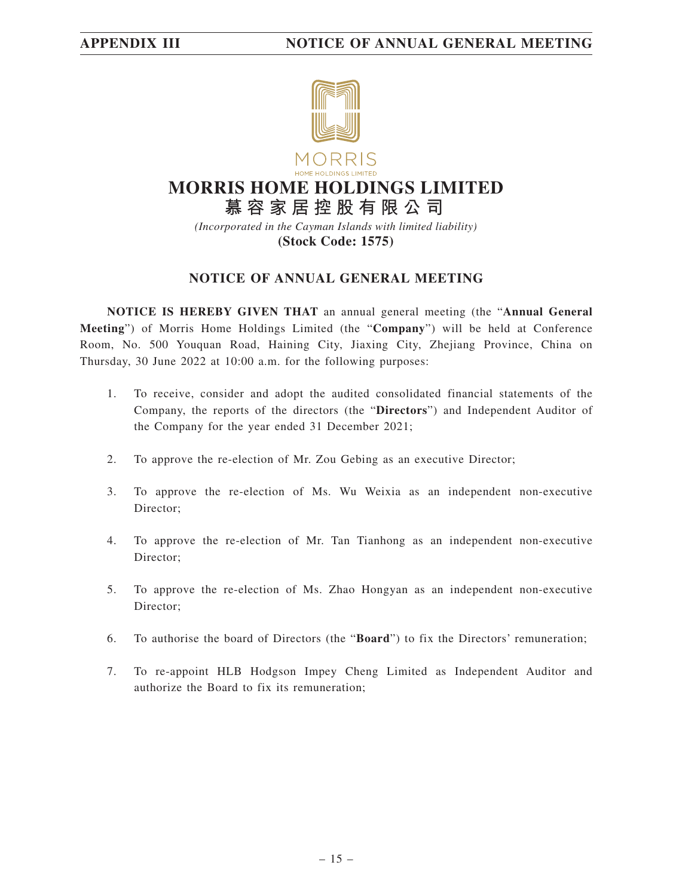

# **MORRIS HOME HOLDINGS LIMITED**

**慕容家居控股有限公司** *(Incorporated in the Cayman Islands with limited liability)* **(Stock Code: 1575)**

# **NOTICE OF ANNUAL GENERAL MEETING**

**NOTICE IS HEREBY GIVEN THAT** an annual general meeting (the "**Annual General Meeting**") of Morris Home Holdings Limited (the "**Company**") will be held at Conference Room, No. 500 Youquan Road, Haining City, Jiaxing City, Zhejiang Province, China on Thursday, 30 June 2022 at 10:00 a.m. for the following purposes:

- 1. To receive, consider and adopt the audited consolidated financial statements of the Company, the reports of the directors (the "**Directors**") and Independent Auditor of the Company for the year ended 31 December 2021;
- 2. To approve the re-election of Mr. Zou Gebing as an executive Director;
- 3. To approve the re-election of Ms. Wu Weixia as an independent non-executive Director;
- 4. To approve the re-election of Mr. Tan Tianhong as an independent non-executive Director;
- 5. To approve the re-election of Ms. Zhao Hongyan as an independent non-executive Director;
- 6. To authorise the board of Directors (the "**Board**") to fix the Directors' remuneration;
- 7. To re-appoint HLB Hodgson Impey Cheng Limited as Independent Auditor and authorize the Board to fix its remuneration;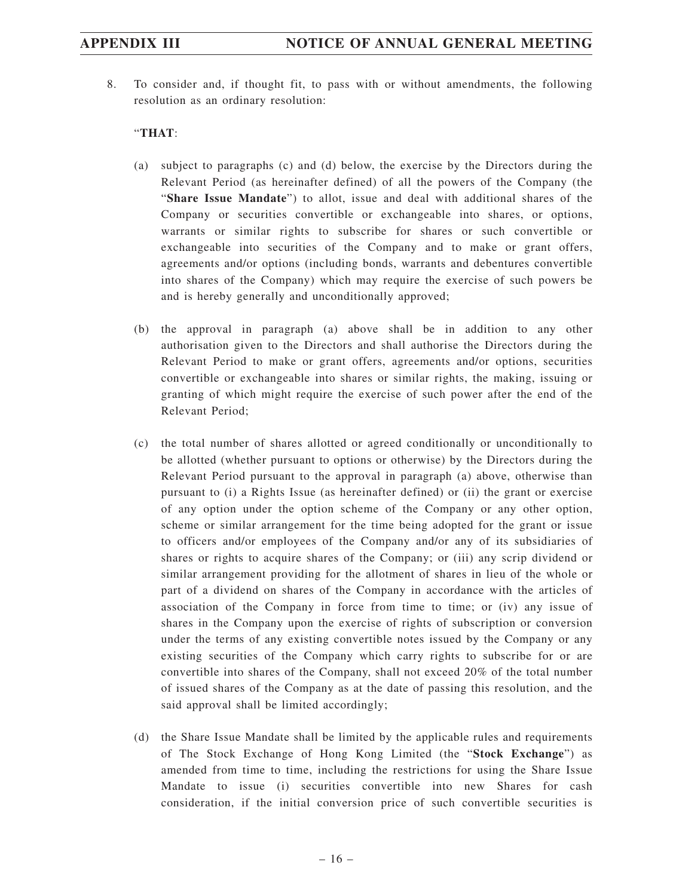8. To consider and, if thought fit, to pass with or without amendments, the following resolution as an ordinary resolution:

## "**THAT**:

- (a) subject to paragraphs (c) and (d) below, the exercise by the Directors during the Relevant Period (as hereinafter defined) of all the powers of the Company (the "**Share Issue Mandate**") to allot, issue and deal with additional shares of the Company or securities convertible or exchangeable into shares, or options, warrants or similar rights to subscribe for shares or such convertible or exchangeable into securities of the Company and to make or grant offers, agreements and/or options (including bonds, warrants and debentures convertible into shares of the Company) which may require the exercise of such powers be and is hereby generally and unconditionally approved;
- (b) the approval in paragraph (a) above shall be in addition to any other authorisation given to the Directors and shall authorise the Directors during the Relevant Period to make or grant offers, agreements and/or options, securities convertible or exchangeable into shares or similar rights, the making, issuing or granting of which might require the exercise of such power after the end of the Relevant Period;
- (c) the total number of shares allotted or agreed conditionally or unconditionally to be allotted (whether pursuant to options or otherwise) by the Directors during the Relevant Period pursuant to the approval in paragraph (a) above, otherwise than pursuant to (i) a Rights Issue (as hereinafter defined) or (ii) the grant or exercise of any option under the option scheme of the Company or any other option, scheme or similar arrangement for the time being adopted for the grant or issue to officers and/or employees of the Company and/or any of its subsidiaries of shares or rights to acquire shares of the Company; or (iii) any scrip dividend or similar arrangement providing for the allotment of shares in lieu of the whole or part of a dividend on shares of the Company in accordance with the articles of association of the Company in force from time to time; or (iv) any issue of shares in the Company upon the exercise of rights of subscription or conversion under the terms of any existing convertible notes issued by the Company or any existing securities of the Company which carry rights to subscribe for or are convertible into shares of the Company, shall not exceed 20% of the total number of issued shares of the Company as at the date of passing this resolution, and the said approval shall be limited accordingly;
- (d) the Share Issue Mandate shall be limited by the applicable rules and requirements of The Stock Exchange of Hong Kong Limited (the "**Stock Exchange**") as amended from time to time, including the restrictions for using the Share Issue Mandate to issue (i) securities convertible into new Shares for cash consideration, if the initial conversion price of such convertible securities is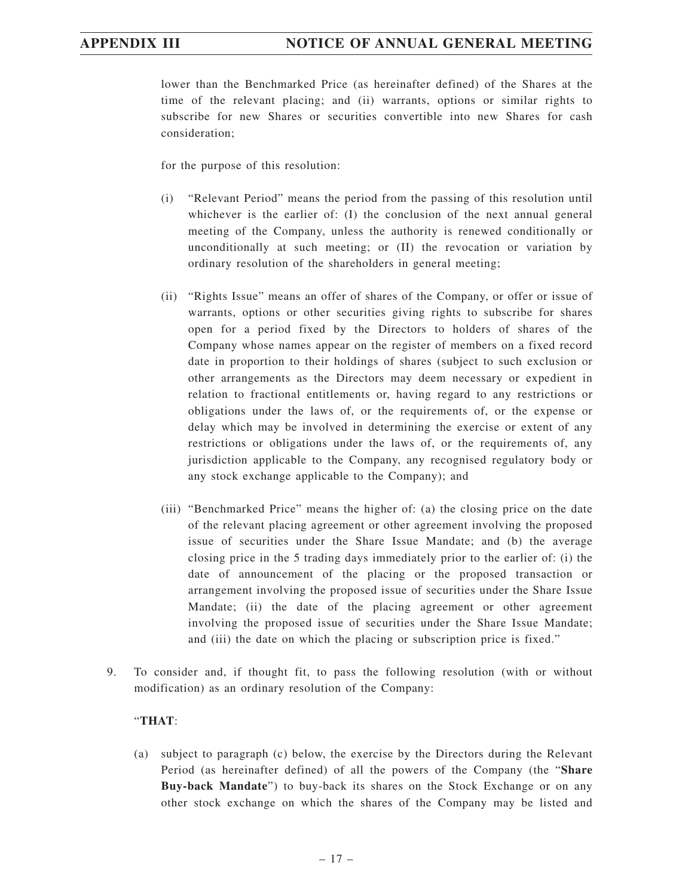lower than the Benchmarked Price (as hereinafter defined) of the Shares at the time of the relevant placing; and (ii) warrants, options or similar rights to subscribe for new Shares or securities convertible into new Shares for cash consideration;

for the purpose of this resolution:

- (i) "Relevant Period" means the period from the passing of this resolution until whichever is the earlier of: (I) the conclusion of the next annual general meeting of the Company, unless the authority is renewed conditionally or unconditionally at such meeting; or (II) the revocation or variation by ordinary resolution of the shareholders in general meeting;
- (ii) "Rights Issue" means an offer of shares of the Company, or offer or issue of warrants, options or other securities giving rights to subscribe for shares open for a period fixed by the Directors to holders of shares of the Company whose names appear on the register of members on a fixed record date in proportion to their holdings of shares (subject to such exclusion or other arrangements as the Directors may deem necessary or expedient in relation to fractional entitlements or, having regard to any restrictions or obligations under the laws of, or the requirements of, or the expense or delay which may be involved in determining the exercise or extent of any restrictions or obligations under the laws of, or the requirements of, any jurisdiction applicable to the Company, any recognised regulatory body or any stock exchange applicable to the Company); and
- (iii) "Benchmarked Price" means the higher of: (a) the closing price on the date of the relevant placing agreement or other agreement involving the proposed issue of securities under the Share Issue Mandate; and (b) the average closing price in the 5 trading days immediately prior to the earlier of: (i) the date of announcement of the placing or the proposed transaction or arrangement involving the proposed issue of securities under the Share Issue Mandate; (ii) the date of the placing agreement or other agreement involving the proposed issue of securities under the Share Issue Mandate; and (iii) the date on which the placing or subscription price is fixed."
- 9. To consider and, if thought fit, to pass the following resolution (with or without modification) as an ordinary resolution of the Company:

### "**THAT**:

(a) subject to paragraph (c) below, the exercise by the Directors during the Relevant Period (as hereinafter defined) of all the powers of the Company (the "**Share Buy-back Mandate**") to buy-back its shares on the Stock Exchange or on any other stock exchange on which the shares of the Company may be listed and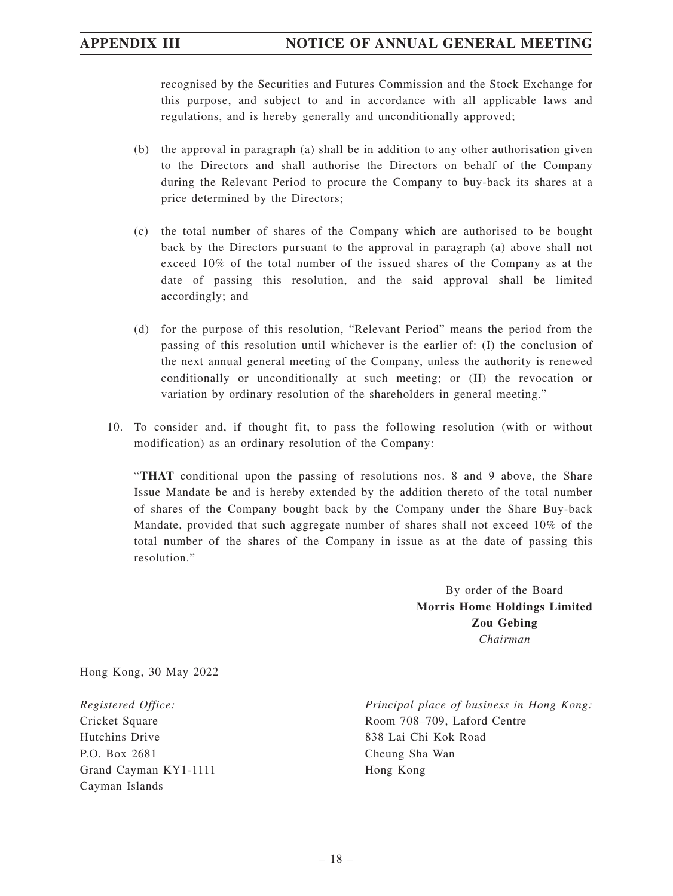recognised by the Securities and Futures Commission and the Stock Exchange for this purpose, and subject to and in accordance with all applicable laws and regulations, and is hereby generally and unconditionally approved;

- (b) the approval in paragraph (a) shall be in addition to any other authorisation given to the Directors and shall authorise the Directors on behalf of the Company during the Relevant Period to procure the Company to buy-back its shares at a price determined by the Directors;
- (c) the total number of shares of the Company which are authorised to be bought back by the Directors pursuant to the approval in paragraph (a) above shall not exceed 10% of the total number of the issued shares of the Company as at the date of passing this resolution, and the said approval shall be limited accordingly; and
- (d) for the purpose of this resolution, "Relevant Period" means the period from the passing of this resolution until whichever is the earlier of: (I) the conclusion of the next annual general meeting of the Company, unless the authority is renewed conditionally or unconditionally at such meeting; or (II) the revocation or variation by ordinary resolution of the shareholders in general meeting."
- 10. To consider and, if thought fit, to pass the following resolution (with or without modification) as an ordinary resolution of the Company:

"**THAT** conditional upon the passing of resolutions nos. 8 and 9 above, the Share Issue Mandate be and is hereby extended by the addition thereto of the total number of shares of the Company bought back by the Company under the Share Buy-back Mandate, provided that such aggregate number of shares shall not exceed 10% of the total number of the shares of the Company in issue as at the date of passing this resolution."

> By order of the Board **Morris Home Holdings Limited Zou Gebing** *Chairman*

Hong Kong, 30 May 2022

*Registered Office:* Cricket Square Hutchins Drive P.O. Box 2681 Grand Cayman KY1-1111 Cayman Islands

*Principal place of business in Hong Kong:* Room 708–709, Laford Centre 838 Lai Chi Kok Road Cheung Sha Wan Hong Kong